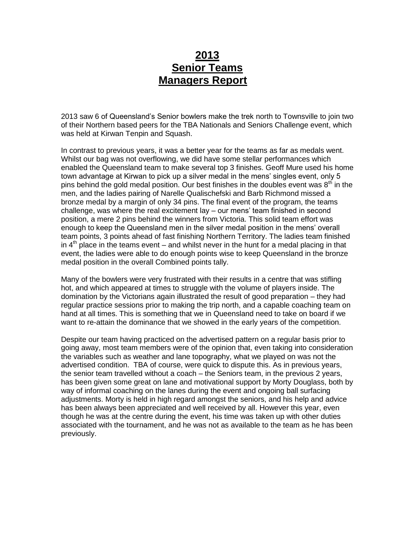## **2013 Senior Teams Managers Report**

2013 saw 6 of Queensland's Senior bowlers make the trek north to Townsville to join two of their Northern based peers for the TBA Nationals and Seniors Challenge event, which was held at Kirwan Tenpin and Squash.

In contrast to previous years, it was a better year for the teams as far as medals went. Whilst our bag was not overflowing, we did have some stellar performances which enabled the Queensland team to make several top 3 finishes. Geoff Mure used his home town advantage at Kirwan to pick up a silver medal in the mens' singles event, only 5 pins behind the gold medal position. Our best finishes in the doubles event was  $8<sup>th</sup>$  in the men, and the ladies pairing of Narelle Qualischefski and Barb Richmond missed a bronze medal by a margin of only 34 pins. The final event of the program, the teams challenge, was where the real excitement lay – our mens' team finished in second position, a mere 2 pins behind the winners from Victoria. This solid team effort was enough to keep the Queensland men in the silver medal position in the mens' overall team points, 3 points ahead of fast finishing Northern Territory. The ladies team finished in  $4<sup>th</sup>$  place in the teams event – and whilst never in the hunt for a medal placing in that event, the ladies were able to do enough points wise to keep Queensland in the bronze medal position in the overall Combined points tally.

Many of the bowlers were very frustrated with their results in a centre that was stifling hot, and which appeared at times to struggle with the volume of players inside. The domination by the Victorians again illustrated the result of good preparation – they had regular practice sessions prior to making the trip north, and a capable coaching team on hand at all times. This is something that we in Queensland need to take on board if we want to re-attain the dominance that we showed in the early years of the competition.

Despite our team having practiced on the advertised pattern on a regular basis prior to going away, most team members were of the opinion that, even taking into consideration the variables such as weather and lane topography, what we played on was not the advertised condition. TBA of course, were quick to dispute this. As in previous years, the senior team travelled without a coach – the Seniors team, in the previous 2 years, has been given some great on lane and motivational support by Morty Douglass, both by way of informal coaching on the lanes during the event and ongoing ball surfacing adjustments. Morty is held in high regard amongst the seniors, and his help and advice has been always been appreciated and well received by all. However this year, even though he was at the centre during the event, his time was taken up with other duties associated with the tournament, and he was not as available to the team as he has been previously.